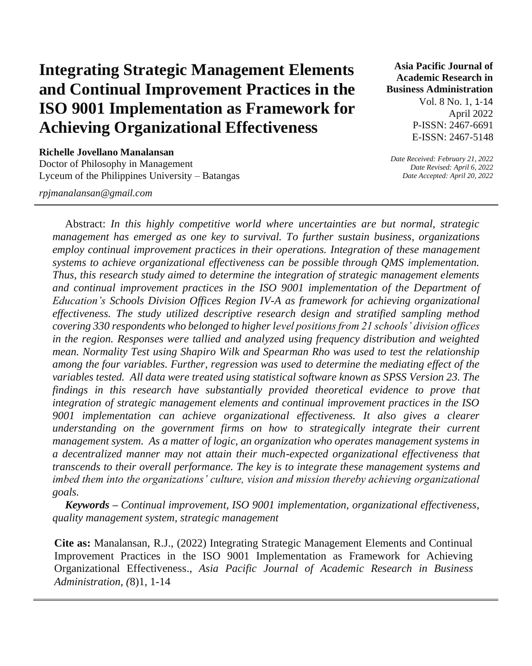# **Integrating Strategic Management Elements and Continual Improvement Practices in the ISO 9001 Implementation as Framework for Achieving Organizational Effectiveness**

**Richelle Jovellano Manalansan** Doctor of Philosophy in Management Lyceum of the Philippines University – Batangas

*rpjmanalansan@gmail.com*

**Asia Pacific Journal of Academic Research in Business Administration** 

> Vol. 8 No. 1, 1-14 April 2022 P-ISSN: 2467-6691 E-ISSN: 2467-5148

*Date Received: February 21, 2022 Date Revised: April 6, 2022 Date Accepted: April 20, 2022* 

Abstract: *In this highly competitive world where uncertainties are but normal, strategic management has emerged as one key to survival. To further sustain business, organizations employ continual improvement practices in their operations. Integration of these management systems to achieve organizational effectiveness can be possible through QMS implementation. Thus, this research study aimed to determine the integration of strategic management elements and continual improvement practices in the ISO 9001 implementation of the Department of Education's Schools Division Offices Region IV-A as framework for achieving organizational effectiveness. The study utilized descriptive research design and stratified sampling method covering 330 respondents who belonged to higher level positions from 21 schools' division offices in the region. Responses were tallied and analyzed using frequency distribution and weighted mean. Normality Test using Shapiro Wilk and Spearman Rho was used to test the relationship among the four variables. Further, regression was used to determine the mediating effect of the variables tested. All data were treated using statistical software known as SPSS Version 23. The findings in this research have substantially provided theoretical evidence to prove that integration of strategic management elements and continual improvement practices in the ISO*  9001 implementation can achieve organizational effectiveness. It also gives a clearer *understanding on the government firms on how to strategically integrate their current management system. As a matter of logic, an organization who operates management systems in a decentralized manner may not attain their much-expected organizational effectiveness that transcends to their overall performance. The key is to integrate these management systems and imbed them into the organizations' culture, vision and mission thereby achieving organizational goals.*

*Keywords – Continual improvement, ISO 9001 implementation, organizational effectiveness, quality management system, strategic management*

**Cite as:** Manalansan, R.J., (2022) Integrating Strategic Management Elements and Continual Improvement Practices in the ISO 9001 Implementation as Framework for Achieving Organizational Effectiveness., *Asia Pacific Journal of Academic Research in Business Administration, (*8)1, 1-14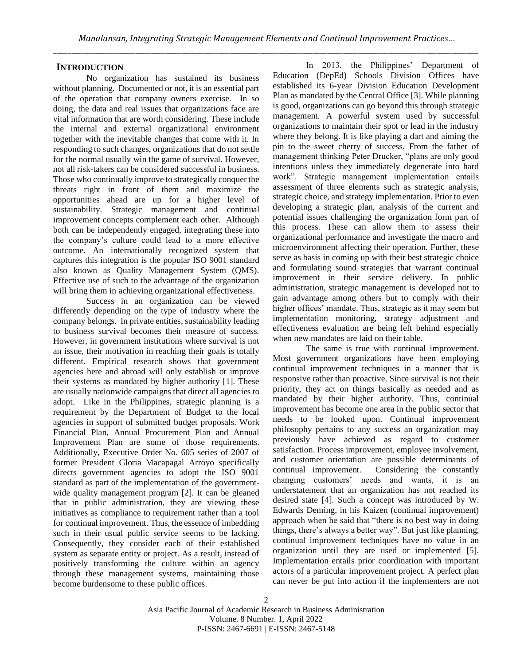# **INTRODUCTION**

No organization has sustained its business without planning. Documented or not, it is an essential part of the operation that company owners exercise. In so doing, the data and real issues that organizations face are vital information that are worth considering. These include the internal and external organizational environment together with the inevitable changes that come with it. In responding to such changes, organizations that do not settle for the normal usually win the game of survival. However, not all risk-takers can be considered successful in business. Those who continually improve to strategically conquer the threats right in front of them and maximize the opportunities ahead are up for a higher level of sustainability. Strategic management and continual improvement concepts complement each other. Although both can be independently engaged, integrating these into the company's culture could lead to a more effective outcome. An internationally recognized system that captures this integration is the popular ISO 9001 standard also known as Quality Management System (QMS). Effective use of such to the advantage of the organization will bring them in achieving organizational effectiveness.

Success in an organization can be viewed differently depending on the type of industry where the company belongs. In private entities, sustainability leading to business survival becomes their measure of success. However, in government institutions where survival is not an issue, their motivation in reaching their goals is totally different. Empirical research shows that government agencies here and abroad will only establish or improve their systems as mandated by higher authority [1]. These are usually nationwide campaigns that direct all agencies to adopt. Like in the Philippines, strategic planning is a requirement by the Department of Budget to the local agencies in support of submitted budget proposals. Work Financial Plan, Annual Procurement Plan and Annual Improvement Plan are some of those requirements. Additionally, Executive Order No. 605 series of 2007 of former President Gloria Macapagal Arroyo specifically directs government agencies to adopt the ISO 9001 standard as part of the implementation of the governmentwide quality management program [2]. It can be gleaned that in public administration, they are viewing these initiatives as compliance to requirement rather than a tool for continual improvement. Thus, the essence of imbedding such in their usual public service seems to be lacking. Consequently, they consider each of their established system as separate entity or project. As a result, instead of positively transforming the culture within an agency through these management systems, maintaining those become burdensome to these public offices.

In 2013, the Philippines' Department of Education (DepEd) Schools Division Offices have established its 6-year Division Education Development Plan as mandated by the Central Office [3]. While planning is good, organizations can go beyond this through strategic management. A powerful system used by successful organizations to maintain their spot or lead in the industry where they belong. It is like playing a dart and aiming the pin to the sweet cherry of success. From the father of management thinking Peter Drucker, "plans are only good intentions unless they immediately degenerate into hard work". Strategic management implementation entails assessment of three elements such as strategic analysis, strategic choice, and strategy implementation. Prior to even developing a strategic plan, analysis of the current and potential issues challenging the organization form part of this process. These can allow them to assess their organizational performance and investigate the macro and microenvironment affecting their operation. Further, these serve as basis in coming up with their best strategic choice and formulating sound strategies that warrant continual improvement in their service delivery. In public administration, strategic management is developed not to gain advantage among others but to comply with their higher offices' mandate. Thus, strategic as it may seem but implementation monitoring, strategy adjustment and effectiveness evaluation are being left behind especially when new mandates are laid on their table.

The same is true with continual improvement. Most government organizations have been employing continual improvement techniques in a manner that is responsive rather than proactive. Since survival is not their priority, they act on things basically as needed and as mandated by their higher authority. Thus, continual improvement has become one area in the public sector that needs to be looked upon. Continual improvement philosophy pertains to any success an organization may previously have achieved as regard to customer satisfaction. Process improvement, employee involvement, and customer orientation are possible determinants of continual improvement. Considering the constantly changing customers' needs and wants, it is an understatement that an organization has not reached its desired state [4]. Such a concept was introduced by W. Edwards Deming, in his Kaizen (continual improvement) approach when he said that "there is no best way in doing things, there's always a better way". But just like planning, continual improvement techniques have no value in an organization until they are used or implemented [5]. Implementation entails prior coordination with important actors of a particular improvement project. A perfect plan can never be put into action if the implementers are not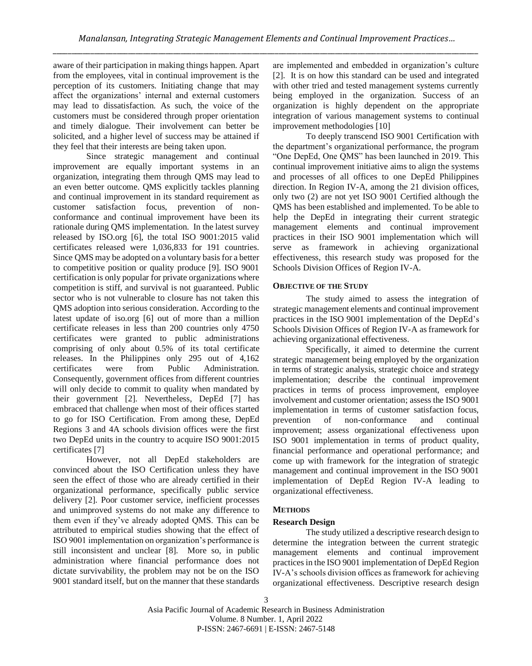aware of their participation in making things happen. Apart from the employees, vital in continual improvement is the perception of its customers. Initiating change that may affect the organizations' internal and external customers may lead to dissatisfaction. As such, the voice of the customers must be considered through proper orientation and timely dialogue. Their involvement can better be solicited, and a higher level of success may be attained if they feel that their interests are being taken upon.

Since strategic management and continual improvement are equally important systems in an organization, integrating them through QMS may lead to an even better outcome. QMS explicitly tackles planning and continual improvement in its standard requirement as customer satisfaction focus, prevention of nonconformance and continual improvement have been its rationale during QMS implementation. In the latest survey released by ISO.org [6], the total ISO 9001:2015 valid certificates released were 1,036,833 for 191 countries. Since QMS may be adopted on a voluntary basis for a better to competitive position or quality produce [9]. ISO 9001 certification is only popular for private organizations where competition is stiff, and survival is not guaranteed. Public sector who is not vulnerable to closure has not taken this QMS adoption into serious consideration. According to the latest update of iso.org [6] out of more than a million certificate releases in less than 200 countries only 4750 certificates were granted to public administrations comprising of only about 0.5% of its total certificate releases. In the Philippines only 295 out of 4,162 certificates were from Public Administration. Consequently, government offices from different countries will only decide to commit to quality when mandated by their government [2]. Nevertheless, DepEd [7] has embraced that challenge when most of their offices started to go for ISO Certification. From among these, DepEd Regions 3 and 4A schools division offices were the first two DepEd units in the country to acquire ISO 9001:2015 certificates [7]

However, not all DepEd stakeholders are convinced about the ISO Certification unless they have seen the effect of those who are already certified in their organizational performance, specifically public service delivery [2]. Poor customer service, inefficient processes and unimproved systems do not make any difference to them even if they've already adopted QMS. This can be attributed to empirical studies showing that the effect of ISO 9001 implementation on organization's performance is still inconsistent and unclear [8]. More so, in public administration where financial performance does not dictate survivability, the problem may not be on the ISO 9001 standard itself, but on the manner that these standards are implemented and embedded in organization's culture [2]. It is on how this standard can be used and integrated with other tried and tested management systems currently being employed in the organization. Success of an organization is highly dependent on the appropriate integration of various management systems to continual improvement methodologies [10]

To deeply transcend ISO 9001 Certification with the department's organizational performance, the program "One DepEd, One QMS" has been launched in 2019. This continual improvement initiative aims to align the systems and processes of all offices to one DepEd Philippines direction. In Region IV-A, among the 21 division offices, only two (2) are not yet ISO 9001 Certified although the QMS has been established and implemented. To be able to help the DepEd in integrating their current strategic management elements and continual improvement practices in their ISO 9001 implementation which will serve as framework in achieving organizational effectiveness, this research study was proposed for the Schools Division Offices of Region IV-A.

#### **OBJECTIVE OF THE STUDY**

The study aimed to assess the integration of strategic management elements and continual improvement practices in the ISO 9001 implementation of the DepEd's Schools Division Offices of Region IV-A as framework for achieving organizational effectiveness.

Specifically, it aimed to determine the current strategic management being employed by the organization in terms of strategic analysis, strategic choice and strategy implementation; describe the continual improvement practices in terms of process improvement, employee involvement and customer orientation; assess the ISO 9001 implementation in terms of customer satisfaction focus, prevention of non-conformance and continual improvement; assess organizational effectiveness upon ISO 9001 implementation in terms of product quality, financial performance and operational performance; and come up with framework for the integration of strategic management and continual improvement in the ISO 9001 implementation of DepEd Region IV-A leading to organizational effectiveness.

#### **METHODS**

#### **Research Design**

The study utilized a descriptive research design to determine the integration between the current strategic management elements and continual improvement practices in the ISO 9001 implementation of DepEd Region IV-A's schools division offices as framework for achieving organizational effectiveness. Descriptive research design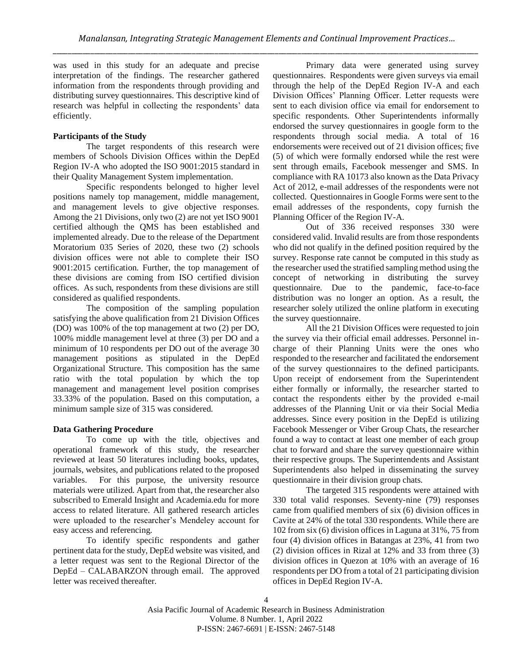was used in this study for an adequate and precise interpretation of the findings. The researcher gathered information from the respondents through providing and distributing survey questionnaires. This descriptive kind of research was helpful in collecting the respondents' data efficiently.

# **Participants of the Study**

The target respondents of this research were members of Schools Division Offices within the DepEd Region IV-A who adopted the ISO 9001:2015 standard in their Quality Management System implementation.

Specific respondents belonged to higher level positions namely top management, middle management, and management levels to give objective responses. Among the 21 Divisions, only two (2) are not yet ISO 9001 certified although the QMS has been established and implemented already. Due to the release of the Department Moratorium 035 Series of 2020, these two (2) schools division offices were not able to complete their ISO 9001:2015 certification. Further, the top management of these divisions are coming from ISO certified division offices. As such, respondents from these divisions are still considered as qualified respondents.

The composition of the sampling population satisfying the above qualification from 21 Division Offices (DO) was 100% of the top management at two (2) per DO, 100% middle management level at three (3) per DO and a minimum of 10 respondents per DO out of the average 30 management positions as stipulated in the DepEd Organizational Structure. This composition has the same ratio with the total population by which the top management and management level position comprises 33.33% of the population. Based on this computation, a minimum sample size of 315 was considered.

#### **Data Gathering Procedure**

To come up with the title, objectives and operational framework of this study, the researcher reviewed at least 50 literatures including books, updates, journals, websites, and publications related to the proposed variables. For this purpose, the university resource materials were utilized. Apart from that, the researcher also subscribed to Emerald Insight and Academia.edu for more access to related literature. All gathered research articles were uploaded to the researcher's Mendeley account for easy access and referencing.

To identify specific respondents and gather pertinent data for the study, DepEd website was visited, and a letter request was sent to the Regional Director of the DepEd – CALABARZON through email. The approved letter was received thereafter.

Primary data were generated using survey questionnaires. Respondents were given surveys via email through the help of the DepEd Region IV-A and each Division Offices' Planning Officer. Letter requests were sent to each division office via email for endorsement to specific respondents. Other Superintendents informally endorsed the survey questionnaires in google form to the respondents through social media. A total of 16 endorsements were received out of 21 division offices; five (5) of which were formally endorsed while the rest were sent through emails, Facebook messenger and SMS. In compliance with RA 10173 also known as the Data Privacy Act of 2012, e-mail addresses of the respondents were not collected. Questionnaires in Google Forms were sent to the email addresses of the respondents, copy furnish the Planning Officer of the Region IV-A.

Out of 336 received responses 330 were considered valid. Invalid results are from those respondents who did not qualify in the defined position required by the survey. Response rate cannot be computed in this study as the researcher used the stratified sampling method using the concept of networking in distributing the survey questionnaire. Due to the pandemic, face-to-face distribution was no longer an option. As a result, the researcher solely utilized the online platform in executing the survey questionnaire.

All the 21 Division Offices were requested to join the survey via their official email addresses. Personnel incharge of their Planning Units were the ones who responded to the researcher and facilitated the endorsement of the survey questionnaires to the defined participants. Upon receipt of endorsement from the Superintendent either formally or informally, the researcher started to contact the respondents either by the provided e-mail addresses of the Planning Unit or via their Social Media addresses. Since every position in the DepEd is utilizing Facebook Messenger or Viber Group Chats, the researcher found a way to contact at least one member of each group chat to forward and share the survey questionnaire within their respective groups. The Superintendents and Assistant Superintendents also helped in disseminating the survey questionnaire in their division group chats.

The targeted 315 respondents were attained with 330 total valid responses. Seventy-nine (79) responses came from qualified members of six (6) division offices in Cavite at 24% of the total 330 respondents. While there are 102 from six (6) division offices in Laguna at 31%, 75 from four (4) division offices in Batangas at 23%, 41 from two (2) division offices in Rizal at 12% and 33 from three (3) division offices in Quezon at 10% with an average of 16 respondents per DO from a total of 21 participating division offices in DepEd Region IV-A.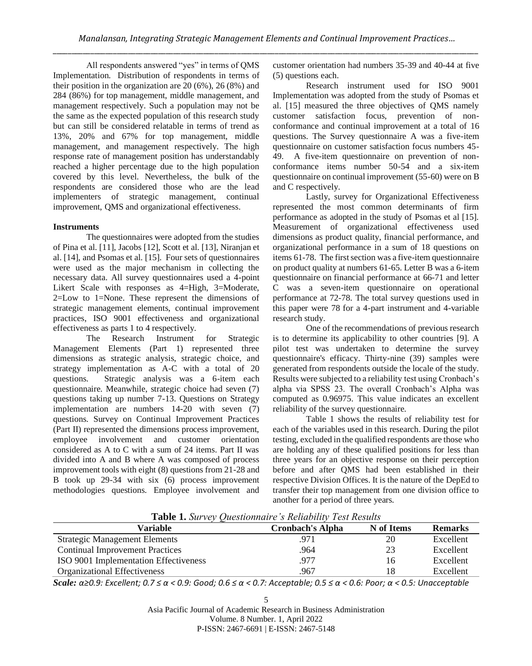All respondents answered "yes" in terms of QMS Implementation. Distribution of respondents in terms of their position in the organization are 20 (6%), 26 (8%) and 284 (86%) for top management, middle management, and management respectively. Such a population may not be the same as the expected population of this research study but can still be considered relatable in terms of trend as 13%, 20% and 67% for top management, middle management, and management respectively. The high response rate of management position has understandably reached a higher percentage due to the high population covered by this level. Nevertheless, the bulk of the respondents are considered those who are the lead implementers of strategic management, continual improvement, QMS and organizational effectiveness.

#### **Instruments**

The questionnaires were adopted from the studies of Pina et al. [11], Jacobs [12], Scott et al. [13], Niranjan et al. [14], and Psomas et al. [15]. Four sets of questionnaires were used as the major mechanism in collecting the necessary data. All survey questionnaires used a 4-point Likert Scale with responses as 4=High, 3=Moderate, 2=Low to 1=None. These represent the dimensions of strategic management elements, continual improvement practices, ISO 9001 effectiveness and organizational effectiveness as parts 1 to 4 respectively.

The Research Instrument for Strategic Management Elements (Part 1) represented three dimensions as strategic analysis, strategic choice, and strategy implementation as A-C with a total of 20 questions. Strategic analysis was a 6-item each questionnaire. Meanwhile, strategic choice had seven (7) questions taking up number 7-13. Questions on Strategy implementation are numbers 14-20 with seven (7) questions. Survey on Continual Improvement Practices (Part II) represented the dimensions process improvement, employee involvement and customer orientation considered as A to C with a sum of 24 items. Part II was divided into A and B where A was composed of process improvement tools with eight (8) questions from 21-28 and B took up 29-34 with six (6) process improvement methodologies questions. Employee involvement and

customer orientation had numbers 35-39 and 40-44 at five (5) questions each.

Research instrument used for ISO 9001 Implementation was adopted from the study of Psomas et al. [15] measured the three objectives of QMS namely customer satisfaction focus, prevention of nonconformance and continual improvement at a total of 16 questions. The Survey questionnaire A was a five-item questionnaire on customer satisfaction focus numbers 45- 49. A five-item questionnaire on prevention of nonconformance items number 50-54 and a six-item questionnaire on continual improvement (55-60) were on B and C respectively.

Lastly, survey for Organizational Effectiveness represented the most common determinants of firm performance as adopted in the study of Psomas et al [15]. Measurement of organizational effectiveness used dimensions as product quality, financial performance, and organizational performance in a sum of 18 questions on items 61-78. The first section was a five-item questionnaire on product quality at numbers 61-65. Letter B was a 6-item questionnaire on financial performance at 66-71 and letter C was a seven-item questionnaire on operational performance at 72-78. The total survey questions used in this paper were 78 for a 4-part instrument and 4-variable research study.

One of the recommendations of previous research is to determine its applicability to other countries [9]. A pilot test was undertaken to determine the survey questionnaire's efficacy. Thirty-nine (39) samples were generated from respondents outside the locale of the study. Results were subjected to a reliability test using Cronbach's alpha via SPSS 23. The overall Cronbach's Alpha was computed as 0.96975. This value indicates an excellent reliability of the survey questionnaire.

Table 1 shows the results of reliability test for each of the variables used in this research. During the pilot testing, excluded in the qualified respondents are those who are holding any of these qualified positions for less than three years for an objective response on their perception before and after QMS had been established in their respective Division Offices. It is the nature of the DepEd to transfer their top management from one division office to another for a period of three years.

**Table 1.** *Survey Questionnaire's Reliability Test Results*

| Variable                               | <b>Cronbach's Alpha</b> | N of Items | <b>Remarks</b> |
|----------------------------------------|-------------------------|------------|----------------|
| <b>Strategic Management Elements</b>   | .971                    | 20         | Excellent      |
| <b>Continual Improvement Practices</b> | .964                    | 23         | Excellent      |
| ISO 9001 Implementation Effectiveness  | .977                    | 16         | Excellent      |
| Organizational Effectiveness           | 967.                    | 18         | Excellent      |

*Scale: α≥0.9: Excellent; 0.7 ≤ α < 0.9: Good; 0.6 ≤ α < 0.7: Acceptable; 0.5 ≤ α < 0.6: Poor; α < 0.5: Unacceptable*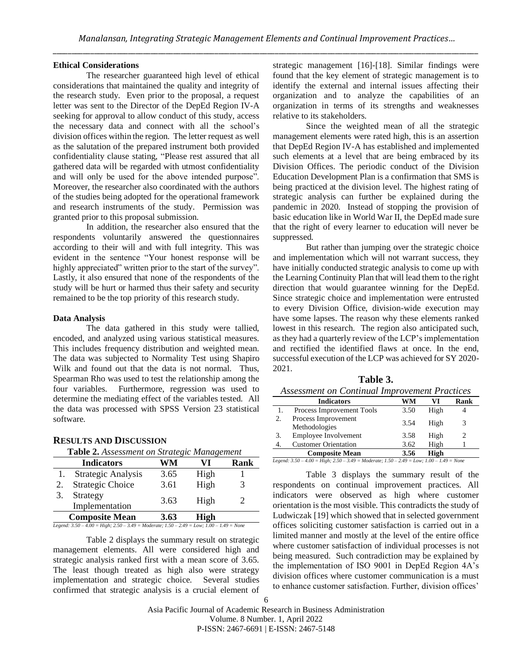#### **Ethical Considerations**

The researcher guaranteed high level of ethical considerations that maintained the quality and integrity of the research study. Even prior to the proposal, a request letter was sent to the Director of the DepEd Region IV-A seeking for approval to allow conduct of this study, access the necessary data and connect with all the school's division offices within the region. The letter request as well as the salutation of the prepared instrument both provided confidentiality clause stating, "Please rest assured that all gathered data will be regarded with utmost confidentiality and will only be used for the above intended purpose". Moreover, the researcher also coordinated with the authors of the studies being adopted for the operational framework and research instruments of the study. Permission was granted prior to this proposal submission.

In addition, the researcher also ensured that the respondents voluntarily answered the questionnaires according to their will and with full integrity. This was evident in the sentence "Your honest response will be highly appreciated" written prior to the start of the survey". Lastly, it also ensured that none of the respondents of the study will be hurt or harmed thus their safety and security remained to be the top priority of this research study.

#### **Data Analysis**

The data gathered in this study were tallied, encoded, and analyzed using various statistical measures. This includes frequency distribution and weighted mean. The data was subjected to Normality Test using Shapiro Wilk and found out that the data is not normal. Thus, Spearman Rho was used to test the relationship among the four variables. Furthermore, regression was used to determine the mediating effect of the variables tested. All the data was processed with SPSS Version 23 statistical software.

| <b>RESULTS AND DISCUSSION</b> |  |
|-------------------------------|--|
|-------------------------------|--|

|                                                                                                   | <b>Indicators</b>       | WM   | VT   | Rank |
|---------------------------------------------------------------------------------------------------|-------------------------|------|------|------|
|                                                                                                   | Strategic Analysis      | 3.65 | High |      |
| 2.                                                                                                | <b>Strategic Choice</b> | 3.61 | High | 3    |
| 3.                                                                                                | Strategy                | 3.63 | High | 2    |
|                                                                                                   | Implementation          |      |      |      |
| <b>Composite Mean</b><br>3.63<br>High                                                             |                         |      |      |      |
| Legend: $3.50 - 4.00 =$ High; $2.50 - 3.49 =$ Moderate; $1.50 - 2.49 =$ Low; $1.00 - 1.49 =$ None |                         |      |      |      |

Table 2 displays the summary result on strategic management elements. All were considered high and strategic analysis ranked first with a mean score of 3.65. The least though treated as high also were strategy implementation and strategic choice. Several studies confirmed that strategic analysis is a crucial element of strategic management [16]-[18]. Similar findings were found that the key element of strategic management is to identify the external and internal issues affecting their organization and to analyze the capabilities of an organization in terms of its strengths and weaknesses relative to its stakeholders.

Since the weighted mean of all the strategic management elements were rated high, this is an assertion that DepEd Region IV-A has established and implemented such elements at a level that are being embraced by its Division Offices. The periodic conduct of the Division Education Development Plan is a confirmation that SMS is being practiced at the division level. The highest rating of strategic analysis can further be explained during the pandemic in 2020. Instead of stopping the provision of basic education like in World War II, the DepEd made sure that the right of every learner to education will never be suppressed.

But rather than jumping over the strategic choice and implementation which will not warrant success, they have initially conducted strategic analysis to come up with the Learning Continuity Plan that will lead them to the right direction that would guarantee winning for the DepEd. Since strategic choice and implementation were entrusted to every Division Office, division-wide execution may have some lapses. The reason why these elements ranked lowest in this research. The region also anticipated such, as they had a quarterly review of the LCP's implementation and rectified the identified flaws at once. In the end, successful execution of the LCP was achieved for SY 2020- 2021.

|  | anı | 16 |  |
|--|-----|----|--|
|--|-----|----|--|

|    | <b>Indicators</b>                    | WM   | VI   | Rank |
|----|--------------------------------------|------|------|------|
|    | Process Improvement Tools            | 3.50 | High |      |
| 2. | Process Improvement<br>Methodologies | 3.54 | High | 3    |
| 3. | Employee Involvement                 | 3.58 | High | 2    |
|    | <b>Customer Orientation</b>          | 3.62 | High |      |
|    | <b>Composite Mean</b>                | 3.56 | High |      |
|    |                                      |      |      |      |

*Legend: 3.50 – 4.00 = High; 2.50 – 3.49 = Moderate; 1.50 – 2.49 = Low; 1.00 – 1.49 = None* 

Table 3 displays the summary result of the respondents on continual improvement practices. All indicators were observed as high where customer orientation is the most visible. This contradicts the study of Ludwiczak [19] which showed that in selected government offices soliciting customer satisfaction is carried out in a limited manner and mostly at the level of the entire office where customer satisfaction of individual processes is not being measured. Such contradiction may be explained by the implementation of ISO 9001 in DepEd Region 4A's division offices where customer communication is a must to enhance customer satisfaction. Further, division offices'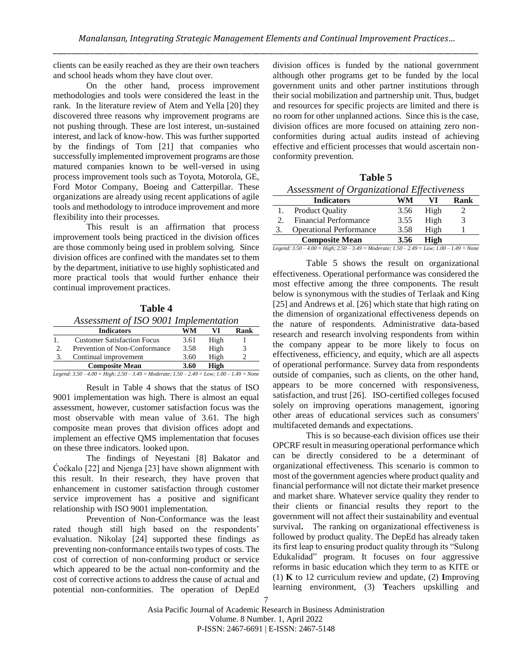clients can be easily reached as they are their own teachers and school heads whom they have clout over.

On the other hand, process improvement methodologies and tools were considered the least in the rank. In the literature review of Atem and Yella [20] they discovered three reasons why improvement programs are not pushing through. These are lost interest, un-sustained interest, and lack of know-how. This was further supported by the findings of Tom [21] that companies who successfully implemented improvement programs are those matured companies known to be well-versed in using process improvement tools such as Toyota, Motorola, GE, Ford Motor Company, Boeing and Catterpillar. These organizations are already using recent applications of agile tools and methodology to introduce improvement and more flexibility into their processes.

This result is an affirmation that process improvement tools being practiced in the division offices are those commonly being used in problem solving. Since division offices are confined with the mandates set to them by the department, initiative to use highly sophisticated and more practical tools that would further enhance their continual improvement practices.

| Table 4                               |  |  |
|---------------------------------------|--|--|
| Assessment of ISO 9001 Implementation |  |  |
|                                       |  |  |

|                                                                                           | <b>Indicators</b>                  | WM   | VI   | Rank |  |
|-------------------------------------------------------------------------------------------|------------------------------------|------|------|------|--|
|                                                                                           | <b>Customer Satisfaction Focus</b> | 3.61 | High |      |  |
| 2.                                                                                        | Prevention of Non-Conformance      | 3.58 | High |      |  |
| 3.                                                                                        | Continual improvement              | 3.60 | High |      |  |
| <b>Composite Mean</b><br>3.60<br>High                                                     |                                    |      |      |      |  |
| Legend: $3.50-4.00 =$ High; $2.50-3.49 =$ Moderate; $1.50-2.49 =$ Low; $1.00-1.49 =$ None |                                    |      |      |      |  |

Result in Table 4 shows that the status of ISO 9001 implementation was high. There is almost an equal assessment, however, customer satisfaction focus was the most observable with mean value of 3.61. The high composite mean proves that division offices adopt and implement an effective QMS implementation that focuses on these three indicators. looked upon.

The findings of Neyestani [8] Bakator and Ćoćkalo [22] and Njenga [23] have shown alignment with this result. In their research, they have proven that enhancement in customer satisfaction through customer service improvement has a positive and significant relationship with ISO 9001 implementation.

Prevention of Non-Conformance was the least rated though still high based on the respondents' evaluation. Nikolay [24] supported these findings as preventing non-conformance entails two types of costs. The cost of correction of non-conforming product or service which appeared to be the actual non-conformity and the cost of corrective actions to address the cause of actual and potential non-conformities. The operation of DepEd division offices is funded by the national government although other programs get to be funded by the local government units and other partner institutions through their social mobilization and partnership unit. Thus, budget and resources for specific projects are limited and there is no room for other unplanned actions. Since this is the case, division offices are more focused on attaining zero nonconformities during actual audits instead of achieving effective and efficient processes that would ascertain nonconformity prevention.

| Assessment of Organizational Effectiveness |                                |      |      |            |
|--------------------------------------------|--------------------------------|------|------|------------|
|                                            | <b>Indicators</b>              | WM   | VI   | Rank       |
|                                            | <b>Product Quality</b>         | 3.56 | High |            |
| $\mathcal{D}_{\mathcal{L}}$                | <b>Financial Performance</b>   | 3.55 | High |            |
| 3.                                         | <b>Operational Performance</b> | 3.58 | High |            |
| <b>Composite Mean</b><br>High<br>3.56      |                                |      |      | <b>A Y</b> |

**Table 5**

*Legend: 3.50 – 4.00 = High; 2.50 – 3.49 = Moderate; 1.50 – 2.49 = Low; 1.00 – 1.49 = None*

Table 5 shows the result on organizational effectiveness. Operational performance was considered the most effective among the three components. The result below is synonymous with the studies of Terlaak and King [25] and Andrews et al. [26] which state that high rating on the dimension of organizational effectiveness depends on the nature of respondents. Administrative data-based research and research involving respondents from within the company appear to be more likely to focus on effectiveness, efficiency, and equity, which are all aspects of operational performance. Survey data from respondents outside of companies, such as clients, on the other hand, appears to be more concerned with responsiveness, satisfaction, and trust [26]. ISO-certified colleges focused solely on improving operations management, ignoring other areas of educational services such as consumers' multifaceted demands and expectations.

This is so because each division offices use their OPCRF result in measuring operational performance which can be directly considered to be a determinant of organizational effectiveness. This scenario is common to most of the government agencies where product quality and financial performance will not dictate their market presence and market share. Whatever service quality they render to their clients or financial results they report to the government will not affect their sustainability and eventual survival. The ranking on organizational effectiveness is followed by product quality. The DepEd has already taken its first leap to ensuring product quality through its "Sulong Edukalidad" program*.* It focuses on four aggressive reforms in basic education which they term to as KITE or (1) **K** to 12 curriculum review and update, (2) **I**mproving learning environment, (3) **T**eachers upskilling and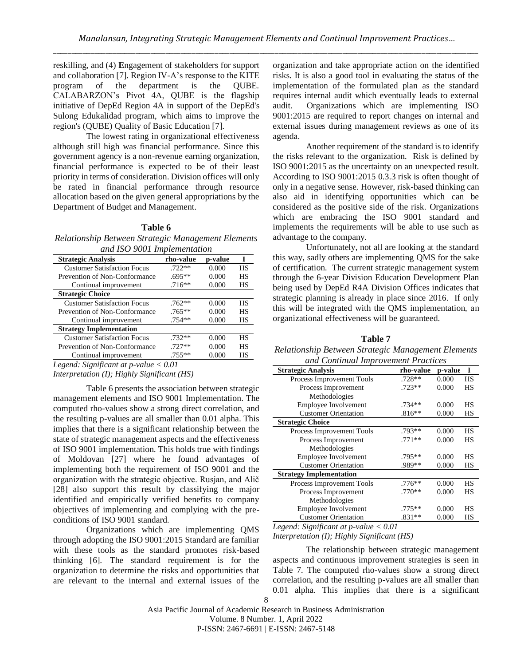reskilling, and (4) **E**ngagement of stakeholders for support and collaboration [7]. Region IV-A's response to the KITE program of the department is the QUBE. CALABARZON's Pivot 4A, QUBE is the flagship initiative of DepEd Region 4A in support of the DepEd's Sulong Edukalidad program, which aims to improve the region's (QUBE) Quality of Basic Education [7].

The lowest rating in organizational effectiveness although still high was financial performance. Since this government agency is a non-revenue earning organization, financial performance is expected to be of their least priority in terms of consideration. Division offices will only be rated in financial performance through resource allocation based on the given general appropriations by the Department of Budget and Management.

# **Table 6**

*Relationship Between Strategic Management Elements and ISO 9001 Implementation*

| <b>Strategic Analysis</b>          | rho-value | p-value | I         |
|------------------------------------|-----------|---------|-----------|
| <b>Customer Satisfaction Focus</b> | $.722**$  | 0.000   | HS        |
| Prevention of Non-Conformance      | $.695**$  | 0.000   | <b>HS</b> |
| Continual improvement              | $.716**$  | 0.000   | HS        |
| <b>Strategic Choice</b>            |           |         |           |
| <b>Customer Satisfaction Focus</b> | $.762**$  | 0.000   | HS        |
| Prevention of Non-Conformance      | $.765**$  | 0.000   | <b>HS</b> |
| Continual improvement              | $.754**$  | 0.000   | HS        |
| <b>Strategy Implementation</b>     |           |         |           |
| <b>Customer Satisfaction Focus</b> | $732**$   | 0.000   | <b>HS</b> |
| Prevention of Non-Conformance      | $.727**$  | 0.000   | <b>HS</b> |
| Continual improvement              | .755**    | 0.000   | НS        |

*Legend: Significant at p-value < 0.01*

*Interpretation (I); Highly Significant (HS)*

Table 6 presents the association between strategic management elements and ISO 9001 Implementation. The computed rho-values show a strong direct correlation, and the resulting p-values are all smaller than 0.01 alpha. This implies that there is a significant relationship between the state of strategic management aspects and the effectiveness of ISO 9001 implementation. This holds true with findings of Moldovan [27] where he found advantages of implementing both the requirement of ISO 9001 and the organization with the strategic objective. Rusjan, and Alič [28] also support this result by classifying the major identified and empirically verified benefits to company objectives of implementing and complying with the preconditions of ISO 9001 standard.

Organizations which are implementing QMS through adopting the ISO 9001:2015 Standard are familiar with these tools as the standard promotes risk-based thinking [6]. The standard requirement is for the organization to determine the risks and opportunities that are relevant to the internal and external issues of the

organization and take appropriate action on the identified risks. It is also a good tool in evaluating the status of the implementation of the formulated plan as the standard requires internal audit which eventually leads to external audit. Organizations which are implementing ISO 9001:2015 are required to report changes on internal and external issues during management reviews as one of its agenda.

Another requirement of the standard is to identify the risks relevant to the organization. Risk is defined by ISO 9001:2015 as the uncertainty on an unexpected result. According to ISO 9001:2015 0.3.3 risk is often thought of only in a negative sense. However, risk-based thinking can also aid in identifying opportunities which can be considered as the positive side of the risk. Organizations which are embracing the ISO 9001 standard and implements the requirements will be able to use such as advantage to the company.

Unfortunately, not all are looking at the standard this way, sadly others are implementing QMS for the sake of certification. The current strategic management system through the 6-year Division Education Development Plan being used by DepEd R4A Division Offices indicates that strategic planning is already in place since 2016. If only this will be integrated with the QMS implementation, an organizational effectiveness will be guaranteed.

**Table 7** *Relationship Between Strategic Management Elements and Continual Improvement Practices*

| <b>Strategic Analysis</b>      | rho-value | p-value | I         |
|--------------------------------|-----------|---------|-----------|
|                                |           |         |           |
| Process Improvement Tools      | .728**    | 0.000   | HS        |
| Process Improvement            | $.723**$  | 0.000   | <b>HS</b> |
| Methodologies                  |           |         |           |
| Employee Involvement           | $.734**$  | 0.000   | HS        |
| <b>Customer Orientation</b>    | $.816**$  | 0.000   | HS        |
| <b>Strategic Choice</b>        |           |         |           |
| Process Improvement Tools      | .793**    | 0.000   | HS        |
| Process Improvement            | $.771**$  | 0.000   | HS        |
| Methodologies                  |           |         |           |
| <b>Employee Involvement</b>    | $.795**$  | 0.000   | HS        |
| <b>Customer Orientation</b>    | .989**    | 0.000   | HS        |
| <b>Strategy Implementation</b> |           |         |           |
| Process Improvement Tools      | $.776**$  | 0.000   | HS        |
| Process Improvement            | $.770**$  | 0.000   | HS        |
| Methodologies                  |           |         |           |
| Employee Involvement           | $.775**$  | 0.000   | HS        |
| <b>Customer Orientation</b>    | $.831**$  | 0.000   | HS        |

*Legend: Significant at p-value < 0.01*

*Interpretation (I); Highly Significant (HS)*

The relationship between strategic management aspects and continuous improvement strategies is seen in Table 7. The computed rho-values show a strong direct correlation, and the resulting p-values are all smaller than 0.01 alpha. This implies that there is a significant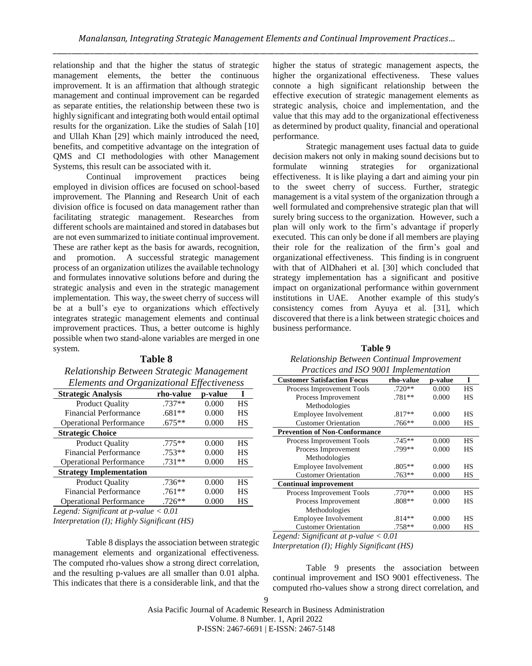relationship and that the higher the status of strategic management elements, the better the continuous improvement. It is an affirmation that although strategic management and continual improvement can be regarded as separate entities, the relationship between these two is highly significant and integrating both would entail optimal results for the organization. Like the studies of Salah [10] and Ullah Khan [29] which mainly introduced the need, benefits, and competitive advantage on the integration of QMS and CI methodologies with other Management Systems, this result can be associated with it.

Continual improvement practices being employed in division offices are focused on school-based improvement. The Planning and Research Unit of each division office is focused on data management rather than facilitating strategic management. Researches from different schools are maintained and stored in databases but are not even summarized to initiate continual improvement. These are rather kept as the basis for awards, recognition, and promotion. A successful strategic management process of an organization utilizes the available technology and formulates innovative solutions before and during the strategic analysis and even in the strategic management implementation. This way, the sweet cherry of success will be at a bull's eye to organizations which effectively integrates strategic management elements and continual improvement practices. Thus, a better outcome is highly possible when two stand-alone variables are merged in one system.

# **Table 8**

# *Relationship Between Strategic Management Elements and Organizational Effectiveness*

| <b>Strategic Analysis</b>                                                                     | rho-value                 | p-value |    |
|-----------------------------------------------------------------------------------------------|---------------------------|---------|----|
| <b>Product Quality</b>                                                                        | $.737**$                  | 0.000   | HS |
| <b>Financial Performance</b>                                                                  | $.681**$                  | 0.000   | НS |
| <b>Operational Performance</b>                                                                | $.675**$                  | 0.000   | НS |
| <b>Strategic Choice</b>                                                                       |                           |         |    |
| <b>Product Quality</b>                                                                        | $.775**$                  | 0.000   | HS |
| <b>Financial Performance</b>                                                                  | $.753**$                  | 0.000   | HS |
| <b>Operational Performance</b>                                                                | $.731**$                  | 0.000   | НS |
| <b>Strategy Implementation</b>                                                                |                           |         |    |
| <b>Product Quality</b>                                                                        | .736**                    | 0.000   | HS |
| <b>Financial Performance</b>                                                                  | $.761**$                  | 0.000   | HS |
| <b>Operational Performance</b>                                                                | $.726**$                  | 0.000   | НS |
| $\cdot$ $\sim$<br>$\mathbf{r}$<br>$\cdots$<br>the contract of the contract of the contract of | $\sqrt{1}$ 0 0 $\sqrt{1}$ |         |    |

*Legend: Significant at p-value < 0.01*

*Interpretation (I); Highly Significant (HS)*

Table 8 displays the association between strategic management elements and organizational effectiveness. The computed rho-values show a strong direct correlation, and the resulting p-values are all smaller than 0.01 alpha. This indicates that there is a considerable link, and that the higher the status of strategic management aspects, the higher the organizational effectiveness. These values connote a high significant relationship between the effective execution of strategic management elements as strategic analysis, choice and implementation, and the value that this may add to the organizational effectiveness as determined by product quality, financial and operational performance.

Strategic management uses factual data to guide decision makers not only in making sound decisions but to formulate winning strategies for organizational effectiveness. It is like playing a dart and aiming your pin to the sweet cherry of success. Further, strategic management is a vital system of the organization through a well formulated and comprehensive strategic plan that will surely bring success to the organization. However, such a plan will only work to the firm's advantage if properly executed. This can only be done if all members are playing their role for the realization of the firm's goal and organizational effectiveness. This finding is in congruent with that of AlDhaheri et al. [30] which concluded that strategy implementation has a significant and positive impact on organizational performance within government institutions in UAE. Another example of this study's consistency comes from Ayuya et al. [31], which discovered that there is a link between strategic choices and business performance.

#### **Table 9** *Relationship Between Continual Improvement Practices and ISO 9001 Implementation*

| I ructices and 150 7001 implementation          |          |         |           |
|-------------------------------------------------|----------|---------|-----------|
| <b>Customer Satisfaction Focus</b><br>rho-value |          | p-value | I         |
| Process Improvement Tools                       | $.720**$ | 0.000   | <b>HS</b> |
| Process Improvement                             | .781**   | 0.000   | HS        |
| Methodologies                                   |          |         |           |
| <b>Employee Involvement</b>                     | $.817**$ | 0.000   | <b>HS</b> |
| <b>Customer Orientation</b>                     | .766**   | 0.000   | HS        |
| <b>Prevention of Non-Conformance</b>            |          |         |           |
| Process Improvement Tools                       | $.745**$ | 0.000   | <b>HS</b> |
| Process Improvement                             | .799**   | 0.000   | HS        |
| Methodologies                                   |          |         |           |
| Employee Involvement                            | .805**   | 0.000   | <b>HS</b> |
| <b>Customer Orientation</b>                     | $.763**$ | 0.000   | НS        |
| <b>Continual improvement</b>                    |          |         |           |
| Process Improvement Tools                       | .770**   | 0.000   | HS        |
| Process Improvement                             | $.808**$ | 0.000   | HS        |
| Methodologies                                   |          |         |           |
| Employee Involvement                            | $.814**$ | 0.000   | <b>HS</b> |
| <b>Customer Orientation</b>                     | .758**   | 0.000   | HS        |

*Legend: Significant at p-value < 0.01*

*Interpretation (I); Highly Significant (HS)*

Table 9 presents the association between continual improvement and ISO 9001 effectiveness. The computed rho-values show a strong direct correlation, and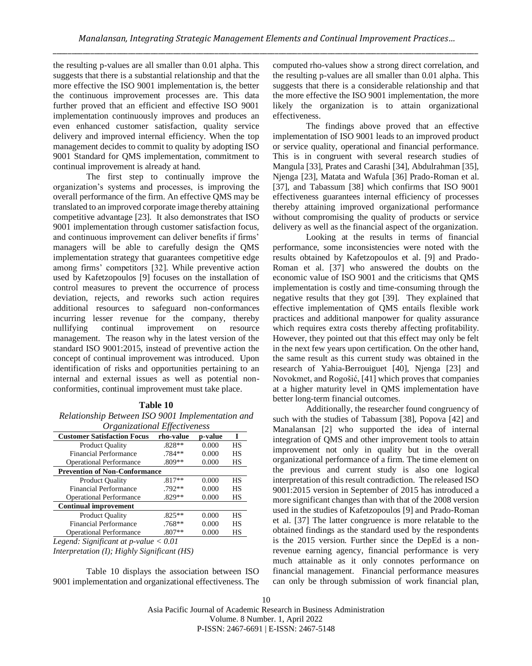the resulting p-values are all smaller than 0.01 alpha. This suggests that there is a substantial relationship and that the more effective the ISO 9001 implementation is, the better the continuous improvement processes are. This data further proved that an efficient and effective ISO 9001 implementation continuously improves and produces an even enhanced customer satisfaction, quality service delivery and improved internal efficiency. When the top management decides to commit to quality by adopting ISO 9001 Standard for QMS implementation, commitment to continual improvement is already at hand.

The first step to continually improve the organization's systems and processes, is improving the overall performance of the firm. An effective QMS may be translated to an improved corporate image thereby attaining competitive advantage [23]. It also demonstrates that ISO 9001 implementation through customer satisfaction focus, and continuous improvement can deliver benefits if firms' managers will be able to carefully design the QMS implementation strategy that guarantees competitive edge among firms' competitors [32]. While preventive action used by Kafetzopoulos [9] focuses on the installation of control measures to prevent the occurrence of process deviation, rejects, and reworks such action requires additional resources to safeguard non-conformances incurring lesser revenue for the company, thereby nullifying continual improvement on resource management. The reason why in the latest version of the standard ISO 9001:2015, instead of preventive action the concept of continual improvement was introduced. Upon identification of risks and opportunities pertaining to an internal and external issues as well as potential nonconformities, continual improvement must take place.

#### **Table 10**

*Relationship Between ISO 9001 Implementation and Organizational Effectiveness*

| Organizational Lijectiveness         |           |         |           |
|--------------------------------------|-----------|---------|-----------|
| <b>Customer Satisfaction Focus</b>   | rho-value | p-value | T         |
| <b>Product Quality</b>               | $.828**$  | 0.000   | <b>HS</b> |
| Financial Performance                | .784**    | 0.000   | <b>HS</b> |
| <b>Operational Performance</b>       | .809**    | 0.000   | HS        |
| <b>Prevention of Non-Conformance</b> |           |         |           |
| <b>Product Quality</b>               | $.817**$  | 0.000   | <b>HS</b> |
| Financial Performance                | $.792**$  | 0.000   | <b>HS</b> |
| <b>Operational Performance</b>       | .829**    | 0.000   | HS        |
| <b>Continual improvement</b>         |           |         |           |
| <b>Product Quality</b>               | $.825**$  | 0.000   | <b>HS</b> |
| <b>Financial Performance</b>         | .768**    | 0.000   | <b>HS</b> |
| <b>Operational Performance</b>       | $.807**$  | 0.000   | HS        |

*Legend: Significant at p-value < 0.01 Interpretation (I); Highly Significant (HS)*

Table 10 displays the association between ISO 9001 implementation and organizational effectiveness. The

computed rho-values show a strong direct correlation, and the resulting p-values are all smaller than 0.01 alpha. This suggests that there is a considerable relationship and that the more effective the ISO 9001 implementation, the more likely the organization is to attain organizational effectiveness.

The findings above proved that an effective implementation of ISO 9001 leads to an improved product or service quality, operational and financial performance. This is in congruent with several research studies of Mangula [33], Prates and Carashi [34], Abdulrahman [35], Njenga [23], Matata and Wafula [36] Prado-Roman et al. [37], and Tabassum [38] which confirms that ISO 9001 effectiveness guarantees internal efficiency of processes thereby attaining improved organizational performance without compromising the quality of products or service delivery as well as the financial aspect of the organization.

Looking at the results in terms of financial performance, some inconsistencies were noted with the results obtained by Kafetzopoulos et al. [9] and Prado-Roman et al. [37] who answered the doubts on the economic value of ISO 9001 and the criticisms that QMS implementation is costly and time-consuming through the negative results that they got [39]. They explained that effective implementation of QMS entails flexible work practices and additional manpower for quality assurance which requires extra costs thereby affecting profitability. However, they pointed out that this effect may only be felt in the next few years upon certification. On the other hand, the same result as this current study was obtained in the research of Yahia-Berrouiguet [40], Njenga [23] and Novokmet, and Rogošić, [41] which proves that companies at a higher maturity level in QMS implementation have better long-term financial outcomes.

Additionally, the researcher found congruency of such with the studies of Tabassum [38], Popova [42] and Manalansan [2] who supported the idea of internal integration of QMS and other improvement tools to attain improvement not only in quality but in the overall organizational performance of a firm. The time element on the previous and current study is also one logical interpretation of this result contradiction. The released ISO 9001:2015 version in September of 2015 has introduced a more significant changes than with that of the 2008 version used in the studies of Kafetzopoulos [9] and Prado-Roman et al. [37] The latter congruence is more relatable to the obtained findings as the standard used by the respondents is the 2015 version. Further since the DepEd is a nonrevenue earning agency, financial performance is very much attainable as it only connotes performance on financial management. Financial performance measures can only be through submission of work financial plan,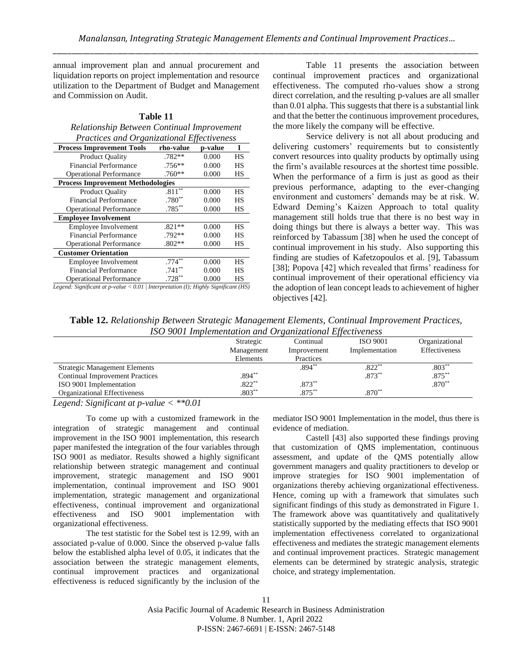annual improvement plan and annual procurement and liquidation reports on project implementation and resource utilization to the Department of Budget and Management and Commission on Audit.

**Table 11** *Relationship Between Continual Improvement Practices and Organizational Effectiveness*

| <b>Process Improvement Tools</b>         | .,,<br>rho-value     | p-value | T         |
|------------------------------------------|----------------------|---------|-----------|
| <b>Product Quality</b>                   | $.782**$             | 0.000   | <b>HS</b> |
| <b>Financial Performance</b>             | $.756**$             | 0.000   | HS        |
| <b>Operational Performance</b>           | $.760**$             | 0.000   | HS        |
| <b>Process Improvement Methodologies</b> |                      |         |           |
| <b>Product Quality</b>                   | $.811**$             | 0.000   | HS        |
| <b>Financial Performance</b>             | $.780**$             | 0.000   | HS        |
| <b>Operational Performance</b>           | $.785**$             | 0.000   | HS        |
| <b>Employee Involvement</b>              |                      |         |           |
| Employee Involvement                     | $.821**$             | 0.000   | HS        |
| <b>Financial Performance</b>             | $.792**$             | 0.000   | HS        |
| <b>Operational Performance</b>           | $.802**$             | 0.000   | HS        |
| <b>Customer Orientation</b>              |                      |         |           |
| Employee Involvement                     | $.774$ <sup>**</sup> | 0.000   | <b>HS</b> |
| <b>Financial Performance</b>             | $.741**$             | 0.000   | HS        |
| <b>Operational Performance</b>           | $.728**$             | 0.000   | HS        |

*Legend: Significant at p-value < 0.01 | Interpretation (I); Highly Significant (HS)*

Table 11 presents the association between continual improvement practices and organizational effectiveness. The computed rho-values show a strong direct correlation, and the resulting p-values are all smaller than 0.01 alpha. This suggests that there is a substantial link and that the better the continuous improvement procedures, the more likely the company will be effective.

Service delivery is not all about producing and delivering customers' requirements but to consistently convert resources into quality products by optimally using the firm's available resources at the shortest time possible. When the performance of a firm is just as good as their previous performance, adapting to the ever-changing environment and customers' demands may be at risk. W. Edward Deming's Kaizen Approach to total quality management still holds true that there is no best way in doing things but there is always a better way. This was reinforced by Tabassum [38] when he used the concept of continual improvement in his study. Also supporting this finding are studies of Kafetzopoulos et al. [9], Tabassum [38]; Popova [42] which revealed that firms' readiness for continual improvement of their operational efficiency via the adoption of lean concept leads to achievement of higher objectives [42].

**Table 12.** *Relationship Between Strategic Management Elements, Continual Improvement Practices, ISO 9001 Implementation and Organizational Effectiveness*

|                                        | Strategic  | Continual   | <b>ISO 9001</b> | Organizational |
|----------------------------------------|------------|-------------|-----------------|----------------|
|                                        | Management | Improvement | Implementation  | Effectiveness  |
|                                        | Elements   | Practices   |                 |                |
| <b>Strategic Management Elements</b>   |            | $.894***$   | $.822**$        | $.803**$       |
| <b>Continual Improvement Practices</b> | $.894***$  |             | $.873**$        | $.875**$       |
| ISO 9001 Implementation                | $.822**$   | $.873**$    |                 | $.870**$       |
| Organizational Effectiveness           | $.803**$   | $.875**$    | $.870**$        |                |

*Legend: Significant at p-value < \*\*0.01*

To come up with a customized framework in the integration of strategic management and continual improvement in the ISO 9001 implementation, this research paper manifested the integration of the four variables through ISO 9001 as mediator. Results showed a highly significant relationship between strategic management and continual improvement, strategic management and ISO 9001 implementation, continual improvement and ISO 9001 implementation, strategic management and organizational effectiveness, continual improvement and organizational effectiveness and ISO 9001 implementation with organizational effectiveness.

The test statistic for the Sobel test is 12.99, with an associated p-value of 0.000. Since the observed p-value falls below the established alpha level of 0.05, it indicates that the association between the strategic management elements, continual improvement practices and organizational effectiveness is reduced significantly by the inclusion of the mediator ISO 9001 Implementation in the model, thus there is evidence of mediation.

Castell [43] also supported these findings proving that customization of QMS implementation, continuous assessment, and update of the QMS potentially allow government managers and quality practitioners to develop or improve strategies for ISO 9001 implementation of organizations thereby achieving organizational effectiveness. Hence, coming up with a framework that simulates such significant findings of this study as demonstrated in Figure 1. The framework above was quantitatively and qualitatively statistically supported by the mediating effects that ISO 9001 implementation effectiveness correlated to organizational effectiveness and mediates the strategic management elements and continual improvement practices. Strategic management elements can be determined by strategic analysis, strategic choice, and strategy implementation.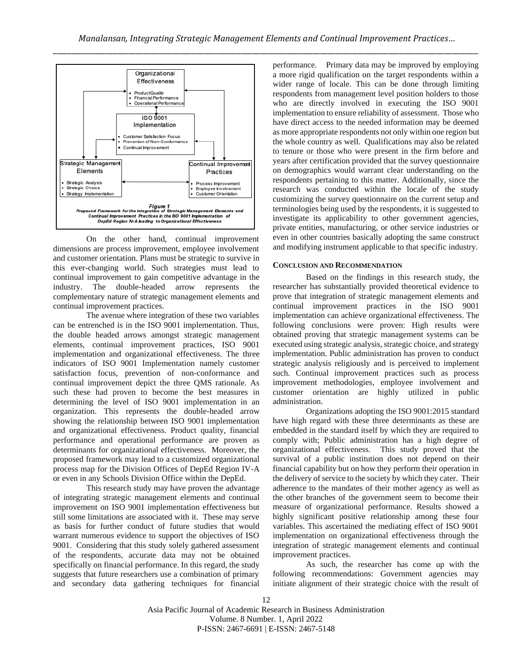

On the other hand, continual improvement dimensions are process improvement, employee involvement and customer orientation. Plans must be strategic to survive in this ever-changing world. Such strategies must lead to continual improvement to gain competitive advantage in the industry. The double-headed arrow represents the complementary nature of strategic management elements and continual improvement practices.

The avenue where integration of these two variables can be entrenched is in the ISO 9001 implementation. Thus, the double headed arrows amongst strategic management elements, continual improvement practices, ISO 9001 implementation and organizational effectiveness. The three indicators of ISO 9001 Implementation namely customer satisfaction focus, prevention of non-conformance and continual improvement depict the three QMS rationale. As such these had proven to become the best measures in determining the level of ISO 9001 implementation in an organization. This represents the double-headed arrow showing the relationship between ISO 9001 implementation and organizational effectiveness. Product quality, financial performance and operational performance are proven as determinants for organizational effectiveness. Moreover, the proposed framework may lead to a customized organizational process map for the Division Offices of DepEd Region IV-A or even in any Schools Division Office within the DepEd.

This research study may have proven the advantage of integrating strategic management elements and continual improvement on ISO 9001 implementation effectiveness but still some limitations are associated with it. These may serve as basis for further conduct of future studies that would warrant numerous evidence to support the objectives of ISO 9001. Considering that this study solely gathered assessment of the respondents, accurate data may not be obtained specifically on financial performance. In this regard, the study suggests that future researchers use a combination of primary and secondary data gathering techniques for financial performance. Primary data may be improved by employing a more rigid qualification on the target respondents within a wider range of locale. This can be done through limiting respondents from management level position holders to those who are directly involved in executing the ISO 9001 implementation to ensure reliability of assessment. Those who have direct access to the needed information may be deemed as more appropriate respondents not only within one region but the whole country as well. Qualifications may also be related to tenure or those who were present in the firm before and years after certification provided that the survey questionnaire on demographics would warrant clear understanding on the respondents pertaining to this matter. Additionally, since the research was conducted within the locale of the study customizing the survey questionnaire on the current setup and terminologies being used by the respondents, it is suggested to investigate its applicability to other government agencies, private entities, manufacturing, or other service industries or even in other countries basically adopting the same construct and modifying instrument applicable to that specific industry.

# **CONCLUSION AND RECOMMENDATION**

Based on the findings in this research study, the researcher has substantially provided theoretical evidence to prove that integration of strategic management elements and continual improvement practices in the ISO 9001 implementation can achieve organizational effectiveness. The following conclusions were proven: High results were obtained proving that strategic management systems can be executed using strategic analysis, strategic choice, and strategy implementation. Public administration has proven to conduct strategic analysis religiously and is perceived to implement such. Continual improvement practices such as process improvement methodologies, employee involvement and customer orientation are highly utilized in public administration.

Organizations adopting the ISO 9001:2015 standard have high regard with these three determinants as these are embedded in the standard itself by which they are required to comply with; Public administration has a high degree of organizational effectiveness. This study proved that the survival of a public institution does not depend on their financial capability but on how they perform their operation in the delivery of service to the society by which they cater. Their adherence to the mandates of their mother agency as well as the other branches of the government seem to become their measure of organizational performance. Results showed a highly significant positive relationship among these four variables. This ascertained the mediating effect of ISO 9001 implementation on organizational effectiveness through the integration of strategic management elements and continual improvement practices.

As such, the researcher has come up with the following recommendations: Government agencies may initiate alignment of their strategic choice with the result of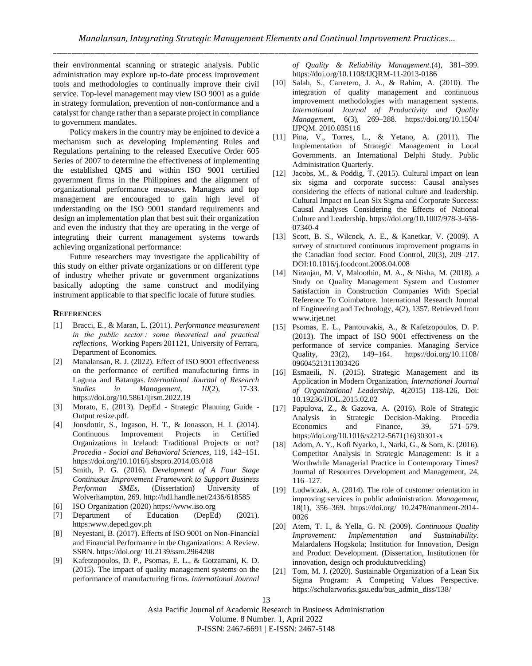their environmental scanning or strategic analysis. Public administration may explore up-to-date process improvement tools and methodologies to continually improve their civil service. Top-level management may view ISO 9001 as a guide in strategy formulation, prevention of non-conformance and a catalyst for change rather than a separate project in compliance to government mandates.

Policy makers in the country may be enjoined to device a mechanism such as developing Implementing Rules and Regulations pertaining to the released Executive Order 605 Series of 2007 to determine the effectiveness of implementing the established QMS and within ISO 9001 certified government firms in the Philippines and the alignment of organizational performance measures. Managers and top management are encouraged to gain high level of understanding on the ISO 9001 standard requirements and design an implementation plan that best suit their organization and even the industry that they are operating in the verge of integrating their current management systems towards achieving organizational performance:

Future researchers may investigate the applicability of this study on either private organizations or on different type of industry whether private or government organizations basically adopting the same construct and modifying instrument applicable to that specific locale of future studies.

#### **REFERENCES**

- [1] Bracci, E., & Maran, L. (2011). *Performance measurement in the public sector : some theoretical and practical reflections,* Working Papers 201121, University of Ferrara, Department of Economics.
- [2] Manalansan, R. J. (2022). Effect of ISO 9001 effectiveness on the performance of certified manufacturing firms in Laguna and Batangas. *International Journal of Research Studies in Management, 10*(2), 17-33. https://doi.org/10.5861/ijrsm.2022.19
- [3] Morato, E. (2013). DepEd Strategic Planning Guide Output resize.pdf.
- [4] Jonsdottir, S., Ingason, H. T., & Jonasson, H. I. (2014). Continuous Improvement Projects in Certified Organizations in Iceland: Traditional Projects or not? *Procedia - Social and Behavioral Sciences,* 119, 142–151. https://doi.org/10.1016/j.sbspro.2014.03.018
- [5] Smith, P. G. (2016). *Development of A Four Stage Continuous Improvement Framework to Support Business Performan SMEs,* (Dissertation) University of Wolverhampton, 269[. http://hdl.handle.net/2436/618585](http://hdl.handle.net/2436/618585)
- [6] ISO Organization (2020) https://www.iso.org
- [7] Department of Education (DepEd) (2021). https:www.deped.gov.ph
- [8] Neyestani, B. (2017). Effects of ISO 9001 on Non-Financial and Financial Performance in the Organizations: A Review. SSRN. https://doi.org/ 10.2139/ssrn.2964208
- [9] Kafetzopoulos, D. P., Psomas, E. L., & Gotzamani, K. D. (2015). The impact of quality management systems on the performance of manufacturing firms. *International Journal*

*of Quality & Reliability Management*.(4), 381–399. https://doi.org/10.1108/IJQRM-11-2013-0186

- [10] Salah, S., Carretero, J. A., & Rahim, A. (2010). The integration of quality management and continuous improvement methodologies with management systems. *International Journal of Productivity and Quality Managemen*t, 6(3), 269–288. https://doi.org/10.1504/ IJPQM. 2010.035116
- [11] Pina, V., Torres, L., & Yetano, A. (2011). The Implementation of Strategic Management in Local Governments. an International Delphi Study. Public Administration Quarterly.
- [12] Jacobs, M., & Poddig, T. (2015). Cultural impact on lean six sigma and corporate success: Causal analyses considering the effects of national culture and leadership. Cultural Impact on Lean Six Sigma and Corporate Success: Causal Analyses Considering the Effects of National Culture and Leadership. https://doi.org/10.1007/978-3-658- 07340-4
- [13] Scott, B. S., Wilcock, A. E., & Kanetkar, V. (2009). A survey of structured continuous improvement programs in the Canadian food sector. Food Control, 20(3), 209–217. DOI:10.1016/j.foodcont.2008.04.008
- [14] Niranjan, M. V, Maloothin, M. A., & Nisha, M. (2018). a Study on Quality Management System and Customer Satisfaction in Construction Companies With Special Reference To Coimbatore. International Research Journal of Engineering and Technology, 4(2), 1357. Retrieved from www.irjet.net
- [15] Psomas, E. L., Pantouvakis, A., & Kafetzopoulos, D. P. (2013). The impact of ISO 9001 effectiveness on the performance of service companies. Managing Service Quality, 23(2), 149–164. https://doi.org/10.1108/ 09604521311303426
- [16] Esmaeili, N. (2015). Strategic Management and its Application in Modern Organization, *International Journal of Organizational Leadership,* 4(2015) 118-126, Doi: 10.19236/IJOL.2015.02.02
- [17] Papulova, Z., & Gazova, A. (2016). Role of Strategic Analysis in Strategic Decision-Making. Procedia Economics and Finance, 39, 571–579. https://doi.org/10.1016/s2212-5671(16)30301-x
- [18] Adom, A. Y., Kofi Nyarko, I., Narki, G., & Som, K. (2016). Competitor Analysis in Strategic Management: Is it a Worthwhile Managerial Practice in Contemporary Times? Journal of Resources Development and Management, 24, 116–127.
- [19] Ludwiczak, A. (2014). The role of customer orientation in improving services in public administration. *Management*, 18(1), 356–369. https://doi.org/ 10.2478/manment-2014- 0026
- [20] Atem, T. I., & Yella, G. N. (2009). *Continuous Quality Improvement: Implementation and Sustainability.*  Malardalens Hogskola; Institution for Innovation, Design and Product Development. (Dissertation, Institutionen för innovation, design och produktutveckling)
- [21] Tom, M. J. (2020). Sustainable Organization of a Lean Six Sigma Program: A Competing Values Perspective. https://scholarworks.gsu.edu/bus\_admin\_diss/138/